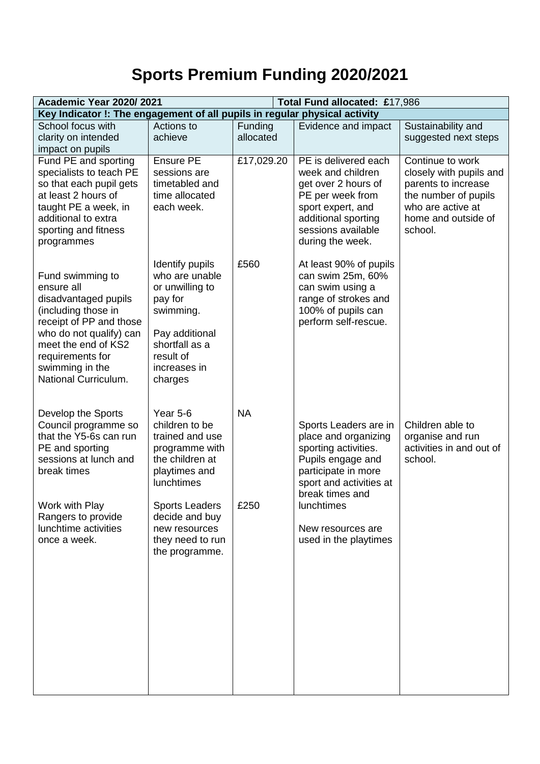## **Sports Premium Funding 2020/2021**

| <b>Academic Year 2020/2021</b><br>Total Fund allocated: £17,986            |                                  |            |                                                |                                           |
|----------------------------------------------------------------------------|----------------------------------|------------|------------------------------------------------|-------------------------------------------|
| Key Indicator !: The engagement of all pupils in regular physical activity |                                  |            |                                                |                                           |
| School focus with                                                          | Actions to                       | Funding    | Evidence and impact                            | Sustainability and                        |
| clarity on intended                                                        | achieve                          | allocated  |                                                | suggested next steps                      |
| impact on pupils                                                           |                                  |            |                                                |                                           |
| Fund PE and sporting                                                       | Ensure PE                        | £17,029.20 | PE is delivered each                           | Continue to work                          |
| specialists to teach PE                                                    | sessions are                     |            | week and children                              | closely with pupils and                   |
| so that each pupil gets<br>at least 2 hours of                             | timetabled and<br>time allocated |            | get over 2 hours of                            | parents to increase                       |
| taught PE a week, in                                                       | each week.                       |            | PE per week from<br>sport expert, and          | the number of pupils<br>who are active at |
| additional to extra                                                        |                                  |            | additional sporting                            | home and outside of                       |
| sporting and fitness                                                       |                                  |            | sessions available                             | school.                                   |
| programmes                                                                 |                                  |            | during the week.                               |                                           |
|                                                                            |                                  |            |                                                |                                           |
|                                                                            | Identify pupils                  | £560       | At least 90% of pupils                         |                                           |
| Fund swimming to                                                           | who are unable                   |            | can swim 25m, 60%                              |                                           |
| ensure all                                                                 | or unwilling to                  |            | can swim using a                               |                                           |
| disadvantaged pupils<br>(including those in                                | pay for<br>swimming.             |            | range of strokes and<br>100% of pupils can     |                                           |
| receipt of PP and those                                                    |                                  |            | perform self-rescue.                           |                                           |
| who do not qualify) can                                                    | Pay additional                   |            |                                                |                                           |
| meet the end of KS2                                                        | shortfall as a                   |            |                                                |                                           |
| requirements for                                                           | result of                        |            |                                                |                                           |
| swimming in the                                                            | increases in                     |            |                                                |                                           |
| National Curriculum.                                                       | charges                          |            |                                                |                                           |
|                                                                            |                                  |            |                                                |                                           |
| Develop the Sports                                                         | Year 5-6                         | <b>NA</b>  |                                                |                                           |
| Council programme so                                                       | children to be                   |            | Sports Leaders are in                          | Children able to                          |
| that the Y5-6s can run                                                     | trained and use                  |            | place and organizing                           | organise and run                          |
| PE and sporting                                                            | programme with                   |            | sporting activities.                           | activities in and out of                  |
| sessions at lunch and<br>break times                                       | the children at                  |            | Pupils engage and                              | school.                                   |
|                                                                            | playtimes and<br>lunchtimes      |            | participate in more<br>sport and activities at |                                           |
|                                                                            |                                  |            | break times and                                |                                           |
| Work with Play                                                             | <b>Sports Leaders</b>            | £250       | lunchtimes                                     |                                           |
| Rangers to provide                                                         | decide and buy                   |            |                                                |                                           |
| lunchtime activities                                                       | new resources                    |            | New resources are                              |                                           |
| once a week.                                                               | they need to run                 |            | used in the playtimes                          |                                           |
|                                                                            | the programme.                   |            |                                                |                                           |
|                                                                            |                                  |            |                                                |                                           |
|                                                                            |                                  |            |                                                |                                           |
|                                                                            |                                  |            |                                                |                                           |
|                                                                            |                                  |            |                                                |                                           |
|                                                                            |                                  |            |                                                |                                           |
|                                                                            |                                  |            |                                                |                                           |
|                                                                            |                                  |            |                                                |                                           |
|                                                                            |                                  |            |                                                |                                           |
|                                                                            |                                  |            |                                                |                                           |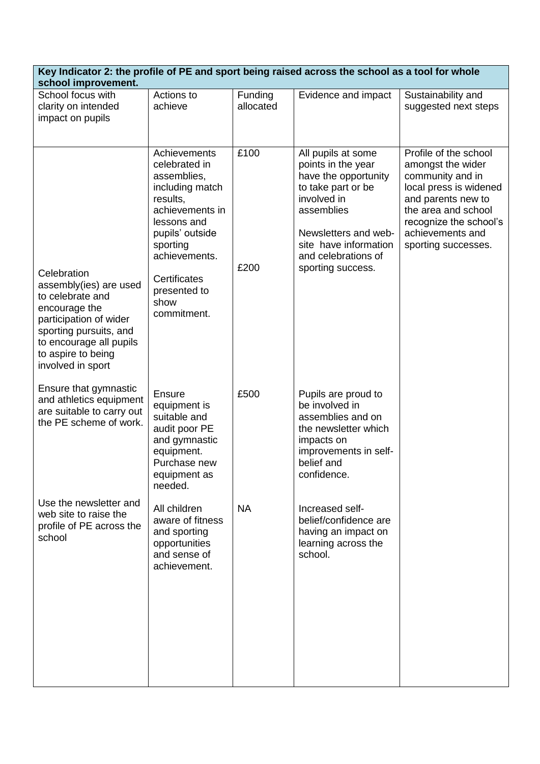| Key Indicator 2: the profile of PE and sport being raised across the school as a tool for whole<br>school improvement.                                                                               |                                                                                                                                                                                                                             |                      |                                                                                                                                                                                                                  |                                                                                                                                                                                                            |
|------------------------------------------------------------------------------------------------------------------------------------------------------------------------------------------------------|-----------------------------------------------------------------------------------------------------------------------------------------------------------------------------------------------------------------------------|----------------------|------------------------------------------------------------------------------------------------------------------------------------------------------------------------------------------------------------------|------------------------------------------------------------------------------------------------------------------------------------------------------------------------------------------------------------|
| School focus with<br>clarity on intended<br>impact on pupils                                                                                                                                         | Actions to<br>achieve                                                                                                                                                                                                       | Funding<br>allocated | Evidence and impact                                                                                                                                                                                              | Sustainability and<br>suggested next steps                                                                                                                                                                 |
| Celebration<br>assembly(ies) are used<br>to celebrate and<br>encourage the<br>participation of wider<br>sporting pursuits, and<br>to encourage all pupils<br>to aspire to being<br>involved in sport | Achievements<br>celebrated in<br>assemblies,<br>including match<br>results,<br>achievements in<br>lessons and<br>pupils' outside<br>sporting<br>achievements.<br><b>Certificates</b><br>presented to<br>show<br>commitment. | £100<br>£200         | All pupils at some<br>points in the year<br>have the opportunity<br>to take part or be<br>involved in<br>assemblies<br>Newsletters and web-<br>site have information<br>and celebrations of<br>sporting success. | Profile of the school<br>amongst the wider<br>community and in<br>local press is widened<br>and parents new to<br>the area and school<br>recognize the school's<br>achievements and<br>sporting successes. |
| Ensure that gymnastic<br>and athletics equipment<br>are suitable to carry out<br>the PE scheme of work.                                                                                              | Ensure<br>equipment is<br>suitable and<br>audit poor PE<br>and gymnastic<br>equipment.<br>Purchase new<br>equipment as<br>needed.                                                                                           | £500                 | Pupils are proud to<br>be involved in<br>assemblies and on<br>the newsletter which<br>impacts on<br>improvements in self-<br>belief and<br>confidence.                                                           |                                                                                                                                                                                                            |
| Use the newsletter and<br>web site to raise the<br>profile of PE across the<br>school                                                                                                                | All children<br>aware of fitness<br>and sporting<br>opportunities<br>and sense of<br>achievement.                                                                                                                           | <b>NA</b>            | Increased self-<br>belief/confidence are<br>having an impact on<br>learning across the<br>school.                                                                                                                |                                                                                                                                                                                                            |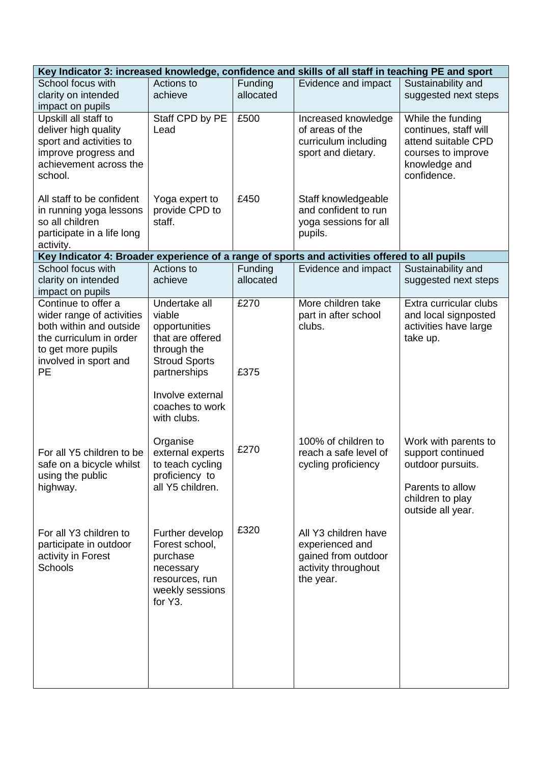| Key Indicator 3: increased knowledge, confidence and skills of all staff in teaching PE and sport                                                                  |                                                                                                                                                                           |                      |                                                                                                    |                                                                                                                             |
|--------------------------------------------------------------------------------------------------------------------------------------------------------------------|---------------------------------------------------------------------------------------------------------------------------------------------------------------------------|----------------------|----------------------------------------------------------------------------------------------------|-----------------------------------------------------------------------------------------------------------------------------|
| School focus with<br>clarity on intended<br>impact on pupils                                                                                                       | Actions to<br>achieve                                                                                                                                                     | Funding<br>allocated | Evidence and impact                                                                                | Sustainability and<br>suggested next steps                                                                                  |
| Upskill all staff to<br>deliver high quality<br>sport and activities to<br>improve progress and<br>achievement across the<br>school.                               | Staff CPD by PE<br>Lead                                                                                                                                                   | £500                 | Increased knowledge<br>of areas of the<br>curriculum including<br>sport and dietary.               | While the funding<br>continues, staff will<br>attend suitable CPD<br>courses to improve<br>knowledge and<br>confidence.     |
| All staff to be confident<br>in running yoga lessons<br>so all children<br>participate in a life long<br>activity.                                                 | Yoga expert to<br>provide CPD to<br>staff.                                                                                                                                | £450                 | Staff knowledgeable<br>and confident to run<br>yoga sessions for all<br>pupils.                    |                                                                                                                             |
| Key Indicator 4: Broader experience of a range of sports and activities offered to all pupils                                                                      |                                                                                                                                                                           |                      |                                                                                                    |                                                                                                                             |
| School focus with<br>clarity on intended<br>impact on pupils                                                                                                       | Actions to<br>achieve                                                                                                                                                     | Funding<br>allocated | Evidence and impact                                                                                | Sustainability and<br>suggested next steps                                                                                  |
| Continue to offer a<br>wider range of activities<br>both within and outside<br>the curriculum in order<br>to get more pupils<br>involved in sport and<br><b>PE</b> | Undertake all<br>viable<br>opportunities<br>that are offered<br>through the<br><b>Stroud Sports</b><br>partnerships<br>Involve external<br>coaches to work<br>with clubs. | £270<br>£375         | More children take<br>part in after school<br>clubs.                                               | Extra curricular clubs<br>and local signposted<br>activities have large<br>take up.                                         |
| For all Y5 children to be<br>safe on a bicycle whilst<br>using the public<br>highway.                                                                              | Organise<br>external experts<br>to teach cycling<br>proficiency to<br>all Y5 children.                                                                                    | £270                 | 100% of children to<br>reach a safe level of<br>cycling proficiency                                | Work with parents to<br>support continued<br>outdoor pursuits.<br>Parents to allow<br>children to play<br>outside all year. |
| For all Y3 children to<br>participate in outdoor<br>activity in Forest<br><b>Schools</b>                                                                           | Further develop<br>Forest school,<br>purchase<br>necessary<br>resources, run<br>weekly sessions<br>for Y3.                                                                | £320                 | All Y3 children have<br>experienced and<br>gained from outdoor<br>activity throughout<br>the year. |                                                                                                                             |